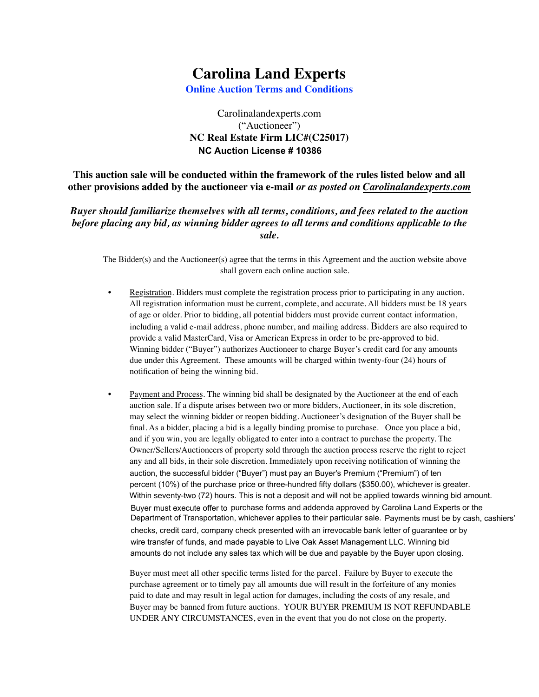## **Carolina Land Experts**

**Online Auction Terms and Conditions**

## Carolinalandexperts.com ("Auctioneer") **NC Real Estate Firm LIC#(C25017) NC Auction License # 10386**

**This auction sale will be conducted within the framework of the rules listed below and all other provisions added by the auctioneer via e-mail** *or as posted on Carolinalandexperts.com*

*Buyer should familiarize themselves with all terms, conditions, and fees related to the auction before placing any bid, as winning bidder agrees to all terms and conditions applicable to the sale.*

The Bidder(s) and the Auctioneer(s) agree that the terms in this Agreement and the auction website above shall govern each online auction sale.

- Registration. Bidders must complete the registration process prior to participating in any auction. All registration information must be current, complete, and accurate. All bidders must be 18 years of age or older. Prior to bidding, all potential bidders must provide current contact information, including a valid e-mail address, phone number, and mailing address. Bidders are also required to provide a valid MasterCard, Visa or American Express in order to be pre-approved to bid. Winning bidder ("Buyer") authorizes Auctioneer to charge Buyer's credit card for any amounts due under this Agreement. These amounts will be charged within twenty-four (24) hours of notification of being the winning bid.
- Payment and Process. The winning bid shall be designated by the Auctioneer at the end of each auction sale. If a dispute arises between two or more bidders, Auctioneer, in its sole discretion, may select the winning bidder or reopen bidding. Auctioneer's designation of the Buyer shall be final. As a bidder, placing a bid is a legally binding promise to purchase. Once you place a bid, and if you win, you are legally obligated to enter into a contract to purchase the property. The Owner/Sellers/Auctioneers of property sold through the auction process reserve the right to reject any and all bids, in their sole discretion. Immediately upon receiving notification of winning the auction, the successful bidder ("Buyer") must pay an Buyer's Premium ("Premium") of ten percent (10%) of the purchase price or three-hundred fifty dollars (\$350.00), whichever is greater. Within seventy-two (72) hours. This is not a deposit and will not be applied towards winning bid amount. Buyer must execute offer to purchase forms and addenda approved by Carolina Land Experts or the Department of Transportation, whichever applies to their particular sale. Payments must be by cash, cashiers' checks, credit card, company check presented with an irrevocable bank letter of guarantee or by wire transfer of funds, and made payable to Live Oak Asset Management LLC. Winning bid amounts do not include any sales tax which will be due and payable by the Buyer upon closing.

Buyer must meet all other specific terms listed for the parcel. Failure by Buyer to execute the purchase agreement or to timely pay all amounts due will result in the forfeiture of any monies paid to date and may result in legal action for damages, including the costs of any resale, and Buyer may be banned from future auctions. YOUR BUYER PREMIUM IS NOT REFUNDABLE UNDER ANY CIRCUMSTANCES, even in the event that you do not close on the property.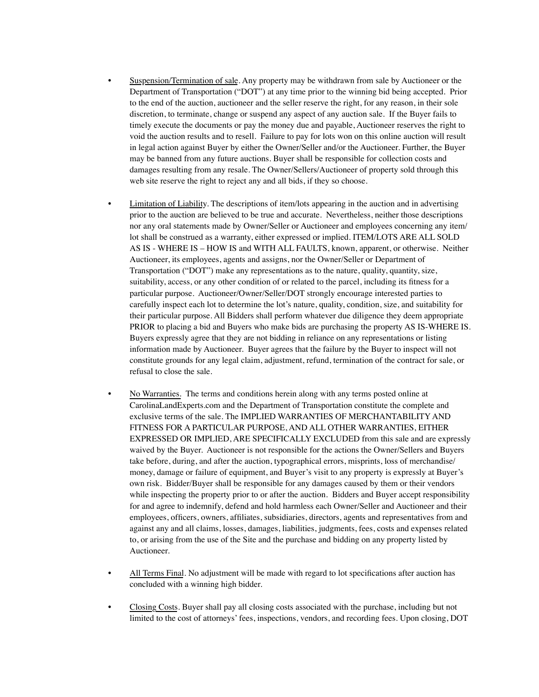- Suspension/Termination of sale. Any property may be withdrawn from sale by Auctioneer or the Department of Transportation ("DOT") at any time prior to the winning bid being accepted. Prior to the end of the auction, auctioneer and the seller reserve the right, for any reason, in their sole discretion, to terminate, change or suspend any aspect of any auction sale. If the Buyer fails to timely execute the documents or pay the money due and payable, Auctioneer reserves the right to void the auction results and to resell. Failure to pay for lots won on this online auction will result in legal action against Buyer by either the Owner/Seller and/or the Auctioneer. Further, the Buyer may be banned from any future auctions. Buyer shall be responsible for collection costs and damages resulting from any resale. The Owner/Sellers/Auctioneer of property sold through this web site reserve the right to reject any and all bids, if they so choose.
- Limitation of Liability. The descriptions of item/lots appearing in the auction and in advertising prior to the auction are believed to be true and accurate. Nevertheless, neither those descriptions nor any oral statements made by Owner/Seller or Auctioneer and employees concerning any item/ lot shall be construed as a warranty, either expressed or implied. ITEM/LOTS ARE ALL SOLD AS IS - WHERE IS – HOW IS and WITH ALL FAULTS, known, apparent, or otherwise. Neither Auctioneer, its employees, agents and assigns, nor the Owner/Seller or Department of Transportation ("DOT") make any representations as to the nature, quality, quantity, size, suitability, access, or any other condition of or related to the parcel, including its fitness for a particular purpose. Auctioneer/Owner/Seller/DOT strongly encourage interested parties to carefully inspect each lot to determine the lot's nature, quality, condition, size, and suitability for their particular purpose. All Bidders shall perform whatever due diligence they deem appropriate PRIOR to placing a bid and Buyers who make bids are purchasing the property AS IS-WHERE IS. Buyers expressly agree that they are not bidding in reliance on any representations or listing information made by Auctioneer. Buyer agrees that the failure by the Buyer to inspect will not constitute grounds for any legal claim, adjustment, refund, termination of the contract for sale, or refusal to close the sale.
- No Warranties. The terms and conditions herein along with any terms posted online at CarolinaLandExperts.com and the Department of Transportation constitute the complete and exclusive terms of the sale. The IMPLIED WARRANTIES OF MERCHANTABILITY AND FITNESS FOR A PARTICULAR PURPOSE, AND ALL OTHER WARRANTIES, EITHER EXPRESSED OR IMPLIED, ARE SPECIFICALLY EXCLUDED from this sale and are expressly waived by the Buyer. Auctioneer is not responsible for the actions the Owner/Sellers and Buyers take before, during, and after the auction, typographical errors, misprints, loss of merchandise/ money, damage or failure of equipment, and Buyer's visit to any property is expressly at Buyer's own risk. Bidder/Buyer shall be responsible for any damages caused by them or their vendors while inspecting the property prior to or after the auction. Bidders and Buyer accept responsibility for and agree to indemnify, defend and hold harmless each Owner/Seller and Auctioneer and their employees, officers, owners, affiliates, subsidiaries, directors, agents and representatives from and against any and all claims, losses, damages, liabilities, judgments, fees, costs and expenses related to, or arising from the use of the Site and the purchase and bidding on any property listed by Auctioneer.
- All Terms Final. No adjustment will be made with regard to lot specifications after auction has concluded with a winning high bidder.
- Closing Costs. Buyer shall pay all closing costs associated with the purchase, including but not limited to the cost of attorneys' fees, inspections, vendors, and recording fees. Upon closing, DOT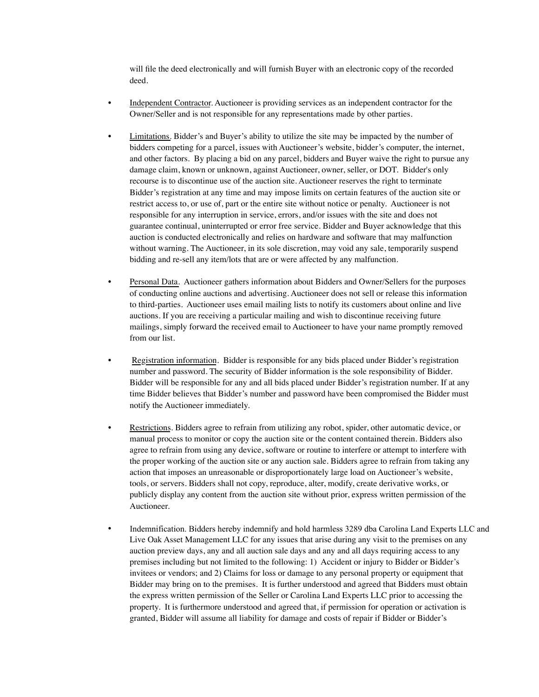will file the deed electronically and will furnish Buyer with an electronic copy of the recorded deed.

- Independent Contractor. Auctioneer is providing services as an independent contractor for the Owner/Seller and is not responsible for any representations made by other parties.
- Limitations. Bidder's and Buyer's ability to utilize the site may be impacted by the number of bidders competing for a parcel, issues with Auctioneer's website, bidder's computer, the internet, and other factors. By placing a bid on any parcel, bidders and Buyer waive the right to pursue any damage claim, known or unknown, against Auctioneer, owner, seller, or DOT. Bidder's only recourse is to discontinue use of the auction site. Auctioneer reserves the right to terminate Bidder's registration at any time and may impose limits on certain features of the auction site or restrict access to, or use of, part or the entire site without notice or penalty. Auctioneer is not responsible for any interruption in service, errors, and/or issues with the site and does not guarantee continual, uninterrupted or error free service. Bidder and Buyer acknowledge that this auction is conducted electronically and relies on hardware and software that may malfunction without warning. The Auctioneer, in its sole discretion, may void any sale, temporarily suspend bidding and re-sell any item/lots that are or were affected by any malfunction.
- Personal Data. Auctioneer gathers information about Bidders and Owner/Sellers for the purposes of conducting online auctions and advertising. Auctioneer does not sell or release this information to third-parties. Auctioneer uses email mailing lists to notify its customers about online and live auctions. If you are receiving a particular mailing and wish to discontinue receiving future mailings, simply forward the received email to Auctioneer to have your name promptly removed from our list.
- Registration information. Bidder is responsible for any bids placed under Bidder's registration number and password. The security of Bidder information is the sole responsibility of Bidder. Bidder will be responsible for any and all bids placed under Bidder's registration number. If at any time Bidder believes that Bidder's number and password have been compromised the Bidder must notify the Auctioneer immediately.
- Restrictions. Bidders agree to refrain from utilizing any robot, spider, other automatic device, or manual process to monitor or copy the auction site or the content contained therein. Bidders also agree to refrain from using any device, software or routine to interfere or attempt to interfere with the proper working of the auction site or any auction sale. Bidders agree to refrain from taking any action that imposes an unreasonable or disproportionately large load on Auctioneer's website, tools, or servers. Bidders shall not copy, reproduce, alter, modify, create derivative works, or publicly display any content from the auction site without prior, express written permission of the Auctioneer.
- Indemnification. Bidders hereby indemnify and hold harmless 3289 dba Carolina Land Experts LLC and Live Oak Asset Management LLC for any issues that arise during any visit to the premises on any auction preview days, any and all auction sale days and any and all days requiring access to any premises including but not limited to the following: 1) Accident or injury to Bidder or Bidder's invitees or vendors; and 2) Claims for loss or damage to any personal property or equipment that Bidder may bring on to the premises. It is further understood and agreed that Bidders must obtain the express written permission of the Seller or Carolina Land Experts LLC prior to accessing the property. It is furthermore understood and agreed that, if permission for operation or activation is granted, Bidder will assume all liability for damage and costs of repair if Bidder or Bidder's